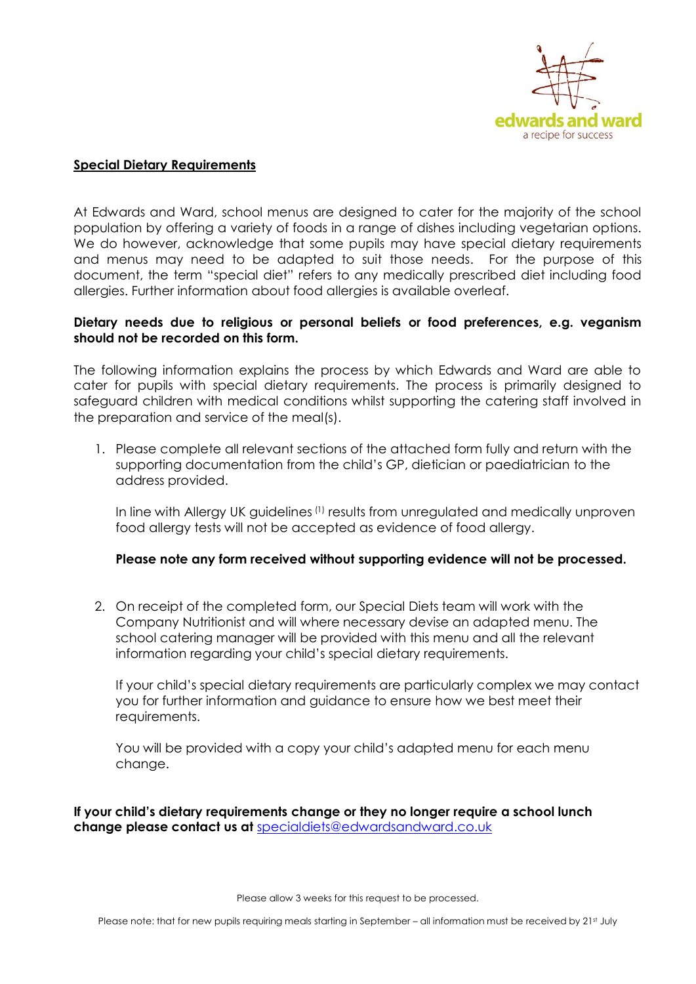

### **Special Dietary Requirements**

At Edwards and Ward, school menus are designed to cater for the majority of the school population by offering a variety of foods in a range of dishes including vegetarian options. We do however, acknowledge that some pupils may have special dietary requirements and menus may need to be adapted to suit those needs. For the purpose of this document, the term "special diet" refers to any medically prescribed diet including food allergies. Further information about food allergies is available overleaf.

### **Dietary needs due to religious or personal beliefs or food preferences, e.g. veganism should not be recorded on this form.**

The following information explains the process by which Edwards and Ward are able to cater for pupils with special dietary requirements. The process is primarily designed to safeguard children with medical conditions whilst supporting the catering staff involved in the preparation and service of the meal(s).

1. Please complete all relevant sections of the attached form fully and return with the supporting documentation from the child's GP, dietician or paediatrician to the address provided.

In line with Allergy UK guidelines <sup>(1)</sup> results from unregulated and medically unproven food allergy tests will not be accepted as evidence of food allergy.

#### **Please note any form received without supporting evidence will not be processed.**

2. On receipt of the completed form, our Special Diets team will work with the Company Nutritionist and will where necessary devise an adapted menu. The school catering manager will be provided with this menu and all the relevant information regarding your child's special dietary requirements.

If your child's special dietary requirements are particularly complex we may contact you for further information and guidance to ensure how we best meet their requirements.

You will be provided with a copy your child's adapted menu for each menu change.

**If your child's dietary requirements change or they no longer require a school lunch change please contact us at** [specialdiets@edwardsandward.co.uk](mailto:specialdiets@edwardsandward.co.uk)

Please allow 3 weeks for this request to be processed.